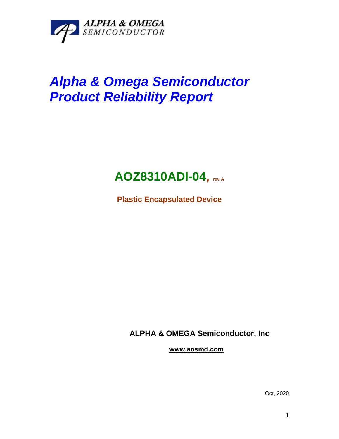

# *Alpha & Omega Semiconductor Product Reliability Report*

# **AOZ8310ADI-04, rev <sup>A</sup>**

**Plastic Encapsulated Device**

**ALPHA & OMEGA Semiconductor, Inc**

**www.aosmd.com**

Oct, 2020